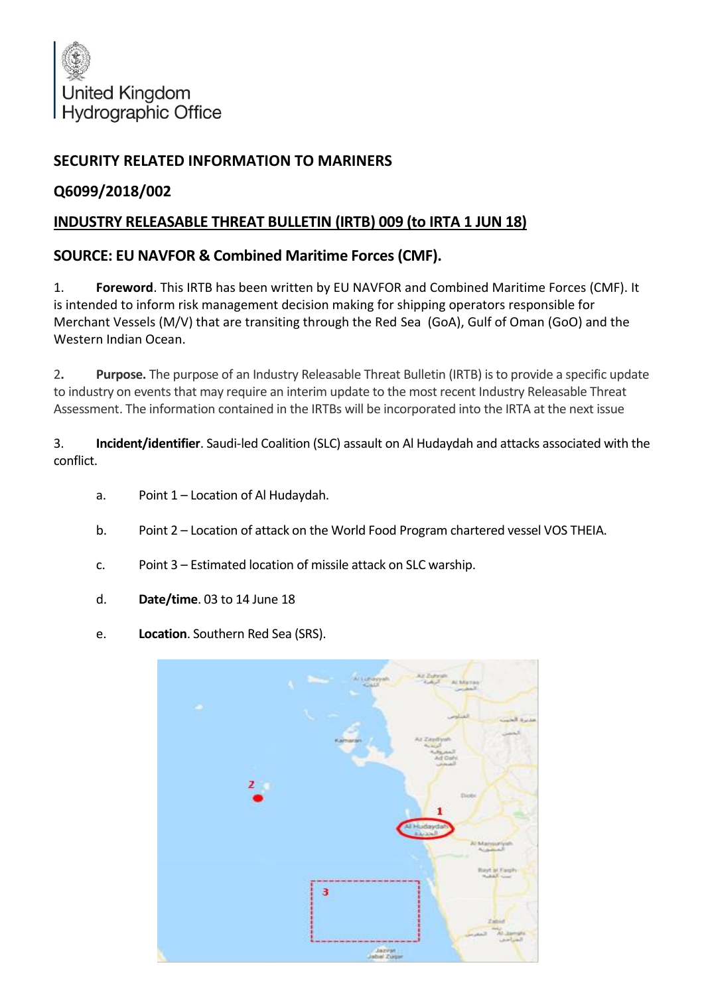

## **SECURITY RELATED INFORMATION TO MARINERS**

## **Q6099/2018/002**

## **INDUSTRY RELEASABLE THREAT BULLETIN (IRTB) 009 (to IRTA 1 JUN 18)**

## **SOURCE: EU NAVFOR & Combined Maritime Forces (CMF).**

1. **Foreword**. This IRTB has been written by EU NAVFOR and Combined Maritime Forces (CMF). It is intended to inform risk management decision making for shipping operators responsible for Merchant Vessels (M/V) that are transiting through the Red Sea (GoA), Gulf of Oman (GoO) and the Western Indian Ocean.

2**. Purpose.** The purpose of an Industry Releasable Threat Bulletin (IRTB) is to provide a specific update to industry on events that may require an interim update to the most recent Industry Releasable Threat Assessment. The information contained in the IRTBs will be incorporated into the IRTA at the next issue

3. **Incident/identifier**. Saudi-led Coalition (SLC) assault on Al Hudaydah and attacks associated with the conflict.

- a. Point 1 Location of Al Hudaydah.
- b. Point 2 Location of attack on the World Food Program chartered vessel VOS THEIA.
- c. Point 3 Estimated location of missile attack on SLC warship.
- d. **Date/time**. 03 to 14 June 18
- e. **Location**. Southern Red Sea (SRS).

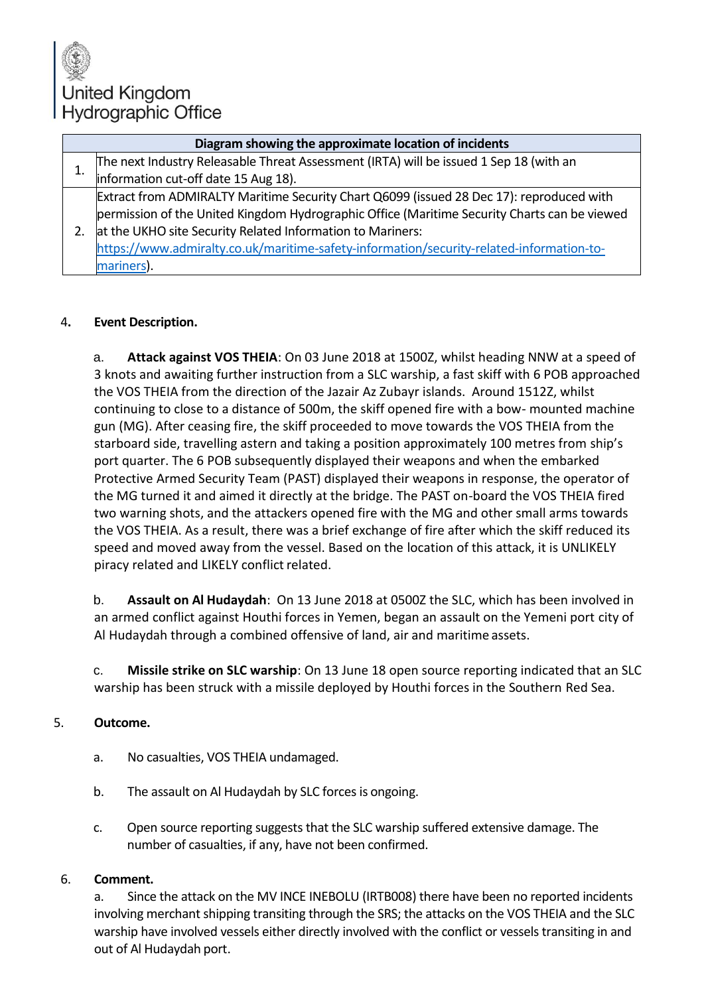# United Kingdom Hydrographic Office

| Diagram showing the approximate location of incidents |                                                                                              |
|-------------------------------------------------------|----------------------------------------------------------------------------------------------|
|                                                       | The next Industry Releasable Threat Assessment (IRTA) will be issued 1 Sep 18 (with an       |
|                                                       | information cut-off date 15 Aug 18).                                                         |
|                                                       | Extract from ADMIRALTY Maritime Security Chart Q6099 (issued 28 Dec 17): reproduced with     |
|                                                       | permission of the United Kingdom Hydrographic Office (Maritime Security Charts can be viewed |
|                                                       | at the UKHO site Security Related Information to Mariners:                                   |
|                                                       | https://www.admiralty.co.uk/maritime-safety-information/security-related-information-to-     |
|                                                       | mariners).                                                                                   |

### 4**. Event Description.**

a. **Attack against VOS THEIA**: On 03 June 2018 at 1500Z, whilst heading NNW at a speed of 3 knots and awaiting further instruction from a SLC warship, a fast skiff with 6 POB approached the VOS THEIA from the direction of the Jazair Az Zubayr islands. Around 1512Z, whilst continuing to close to a distance of 500m, the skiff opened fire with a bow- mounted machine gun (MG). After ceasing fire, the skiff proceeded to move towards the VOS THEIA from the starboard side, travelling astern and taking a position approximately 100 metres from ship's port quarter. The 6 POB subsequently displayed their weapons and when the embarked Protective Armed Security Team (PAST) displayed their weapons in response, the operator of the MG turned it and aimed it directly at the bridge. The PAST on-board the VOS THEIA fired two warning shots, and the attackers opened fire with the MG and other small arms towards the VOS THEIA. As a result, there was a brief exchange of fire after which the skiff reduced its speed and moved away from the vessel. Based on the location of this attack, it is UNLIKELY piracy related and LIKELY conflict related.

b. **Assault on Al Hudaydah**: On 13 June 2018 at 0500Z the SLC, which has been involved in an armed conflict against Houthi forces in Yemen, began an assault on the Yemeni port city of Al Hudaydah through a combined offensive of land, air and maritime assets.

c. **Missile strike on SLC warship**: On 13 June 18 open source reporting indicated that an SLC warship has been struck with a missile deployed by Houthi forces in the Southern Red Sea.

### 5. **Outcome.**

- a. No casualties, VOS THEIA undamaged.
- b. The assault on Al Hudaydah by SLC forces is ongoing.
- c. Open source reporting suggests that the SLC warship suffered extensive damage. The number of casualties, if any, have not been confirmed.

### 6. **Comment.**

a. Since the attack on the MV INCE INEBOLU (IRTB008) there have been no reported incidents involving merchant shipping transiting through the SRS; the attacks on the VOS THEIA and the SLC warship have involved vessels either directly involved with the conflict or vessels transiting in and out of Al Hudaydah port.